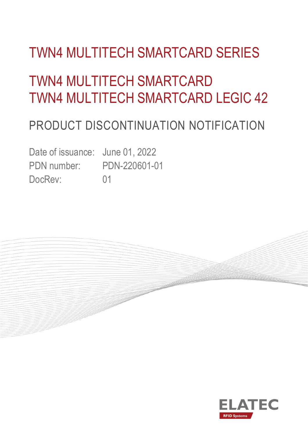# TWN4 MULTITECH SMARTCARD SERIES

# TWN4 MULTITECH SMARTCARD TWN4 MULTITECH SMARTCARD LEGIC 42

### PRODUCT DISCONTINUATION NOTIFICATION

Date of issuance: June 01, 2022 PDN number: PDN-220601-01 DocRev: 01



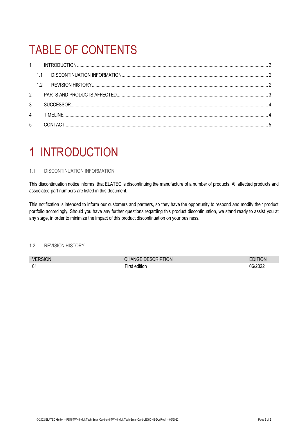## TABLE OF CONTENTS

|             | $1 \quad \blacksquare$ |  |
|-------------|------------------------|--|
|             | 1.1                    |  |
|             | 1.2                    |  |
| $2^{\circ}$ |                        |  |
| 3           |                        |  |
| 4           |                        |  |
| 5           |                        |  |

### <span id="page-1-0"></span>1 INTRODUCTION

### <span id="page-1-1"></span>1.1 DISCONTINUATION INFORMATION

This discontinuation notice informs, that ELATEC is discontinuing the manufacture of a number of products. All affected products and associated part numbers are listed in this document.

This notification is intended to inform our customers and partners, so they have the opportunity to respond and modify their product portfolio accordingly. Should you have any further questions regarding this product discontinuation, we stand ready to assist you at any stage, in order to minimize the impact of this product discontinuation on your business.

### <span id="page-1-2"></span>1.2 REVISION HISTORY

| VI<br>N | <b>TON</b><br><br>,rur                     |                  |
|---------|--------------------------------------------|------------------|
| 01      | $\cdots$<br>$- \cdot$<br>a m<br>.<br>JIHOF | ገፍ<br>וני<br>◡∠∠ |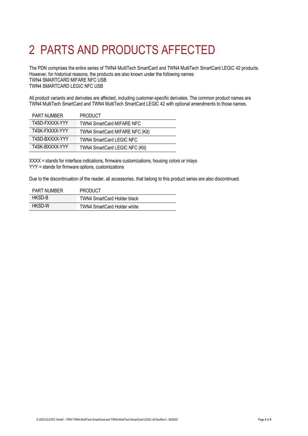# <span id="page-2-0"></span>2 PARTS AND PRODUCTS AFFECTED

The PDN comprises the entire series of TWN4 MultiTech SmartCard and TWN4 MultiTech SmartCard LEGIC 42 products. However, for historical reasons, the products are also known under the following names: TWN4 SMARTCARD MIFARE NFC USB TWN4 SMARTCARD LEGIC NFC USB

All product variants and derivates are affected, including customer-specific derivates. The common product names are TWN4 MultiTech SmartCard and TWN4 MultiTech SmartCard LEGIC 42 with optional amendments to those names.

| <b>PART NUMBER</b> | <b>PRODUCT</b>                   |
|--------------------|----------------------------------|
| T4SD-FXXXX-YYY     | <b>TWN4 SmartCard MIFARE NFC</b> |
| T4SK-FXXXX-YYY     | TWN4 SmartCard MIFARE NFC (Kit)  |
| T4SD-BXXXX-YYY     | TWN4 SmartCard LEGIC NFC         |
| T4SK-BXXXX-YYY     | TWN4 SmartCard LEGIC NFC (Kit)   |

XXXX = stands for interface indications, firmware customizations, housing colors or inlays YYY = stands for firmware options, customizations

Due to the discontinuation of the reader, all accessories, that belong to this product series are also discontinued.

| <b>PART NUMBER</b> | <b>PRODUCT</b>                     |
|--------------------|------------------------------------|
| HKSD-B             | <b>TWN4 SmartCard Holder black</b> |
| HKSD-W             | <b>TWN4 SmartCard Holder white</b> |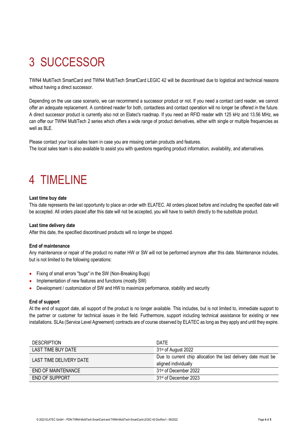# <span id="page-3-0"></span>3 SUCCESSOR

TWN4 MultiTech SmartCard and TWN4 MultiTech SmartCard LEGIC 42 will be discontinued due to logistical and technical reasons without having a direct successor.

Depending on the use case scenario, we can recommend a successor product or not. If you need a contact card reader, we cannot offer an adequate replacement. A combined reader for both, contactless and contact operation will no longer be offered in the future. A direct successor product is currently also not on Elatec's roadmap. If you need an RFID reader with 125 kHz and 13.56 MHz, we can offer our TWN4 MultiTech 2 series which offers a wide range of product derivatives, either with single or multiple frequencies as well as BLE.

Please contact your local sales team in case you are missing certain products and features. The local sales team is also available to assist you with questions regarding product information, availability, and alternatives.

### <span id="page-3-1"></span>4 TIMELINE

#### **Last time buy date**

This date represents the last opportunity to place an order with ELATEC. All orders placed before and including the specified date will be accepted. All orders placed after this date will not be accepted, you will have to switch directly to the substitute product.

#### **Last time delivery date**

After this date, the specified discontinued products will no longer be shipped.

#### **End of maintenance**

Any maintenance or repair of the product no matter HW or SW will not be performed anymore after this date. Maintenance includes, but is not limited to the following operations:

- Fixing of small errors "bugs" in the SW (Non-Breaking Bugs)
- Implementation of new features and functions (mostly SW)
- Development / customization of SW and HW to maximize performance, stability and security

#### **End of support**

At the end of support date, all support of the product is no longer available. This includes, but is not limited to, immediate support to the partner or customer for technical issues in the field. Furthermore, support including technical assistance for existing or new installations. SLAs (Service Level Agreement) contracts are of course observed by ELATEC as long as they apply and until they expire.

| <b>DESCRIPTION</b>      | DATE                                                          |
|-------------------------|---------------------------------------------------------------|
| LAST TIME BUY DATE      | 31 <sup>st</sup> of August 2022                               |
| LAST TIME DELIVERY DATE | Due to current chip allocation the last delivery date must be |
|                         | aligned individually                                          |
| END OF MAINTENANCE      | 31 <sup>st</sup> of December 2022                             |
| END OF SUPPORT          | 31 <sup>st</sup> of December 2023                             |